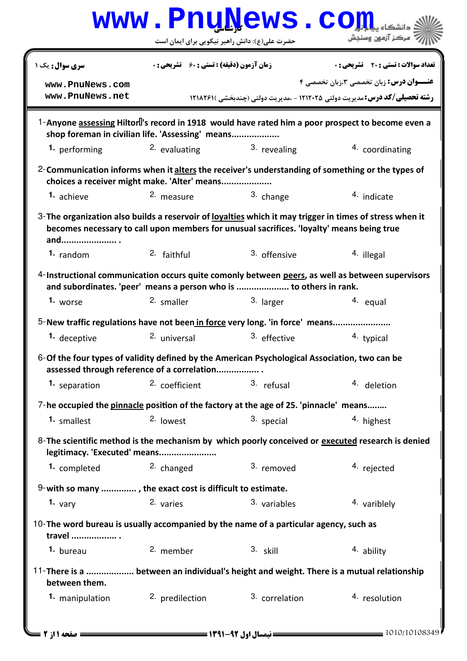|                                                                                                                                                  |                                                    | www.PnuNews.co                                                                            |                                                                                                                                             |
|--------------------------------------------------------------------------------------------------------------------------------------------------|----------------------------------------------------|-------------------------------------------------------------------------------------------|---------------------------------------------------------------------------------------------------------------------------------------------|
|                                                                                                                                                  | حضرت علی(ع): دانش راهبر نیکویی برای ایمان است      |                                                                                           | ُ 'مرڪز آزمون وسنڊش                                                                                                                         |
| سری سوال: یک ۱                                                                                                                                   | <b>زمان آزمون (دقیقه) : تستی : 60 ٪ تشریحی : 0</b> |                                                                                           | <b>تعداد سوالات : تستي : 20 ٪ تشريحي : 0</b>                                                                                                |
| www.PnuNews.com<br>www.PnuNews.net                                                                                                               |                                                    |                                                                                           | <b>عنـــوان درس:</b> زبان تخصصی <b>3</b> ،زبان تخصصی ۴<br><b>رشته تحصیلی/کد درس:</b> مدیریت دولتی 1212005 - .مدیریت دولتی (چندبخشی )1218291 |
| shop foreman in civilian life. 'Assessing' means                                                                                                 |                                                    |                                                                                           | 1-Anyone assessing Hiltor 's record in 1918 would have rated him a poor prospect to become even a                                           |
| 1. performing                                                                                                                                    | 2. evaluating                                      | 3. revealing                                                                              | 4. coordinating                                                                                                                             |
| 2-Communication informs when it alters the receiver's understanding of something or the types of<br>choices a receiver might make. 'Alter' means |                                                    |                                                                                           |                                                                                                                                             |
| 1. achieve                                                                                                                                       | 2. measure                                         | 3. change                                                                                 | 4. indicate                                                                                                                                 |
| 3- The organization also builds a reservoir of lovalties which it may trigger in times of stress when it<br>and                                  |                                                    | becomes necessary to call upon members for unusual sacrifices. 'loyalty' means being true |                                                                                                                                             |
| $1.$ random                                                                                                                                      | 2. faithful                                        | 3. offensive                                                                              | <sup>4</sup> illegal                                                                                                                        |
|                                                                                                                                                  |                                                    | and subordinates. 'peer' means a person who is  to others in rank.                        | 4-Instructional communication occurs quite comonly between peers, as well as between supervisors                                            |
| 1. worse                                                                                                                                         | 2. smaller                                         | 3. larger                                                                                 | 4. equal                                                                                                                                    |
| 5-New traffic regulations have not been in force very long. 'in force' means                                                                     |                                                    |                                                                                           |                                                                                                                                             |
| 1. deceptive                                                                                                                                     | <sup>2.</sup> universal                            | 3. effective                                                                              | 4. typical                                                                                                                                  |
| 6-Of the four types of validity defined by the American Psychological Association, two can be<br>assessed through reference of a correlation     |                                                    |                                                                                           |                                                                                                                                             |
| 1. separation                                                                                                                                    | <sup>2.</sup> coefficient                          | 3. refusal                                                                                | 4. deletion                                                                                                                                 |
| 7-he occupied the pinnacle position of the factory at the age of 25. 'pinnacle' means                                                            |                                                    |                                                                                           |                                                                                                                                             |
| 1. smallest                                                                                                                                      | 2. lowest                                          | 3. special                                                                                | 4. highest                                                                                                                                  |
| legitimacy. 'Executed' means                                                                                                                     |                                                    |                                                                                           | 8-The scientific method is the mechanism by which poorly conceived or executed research is denied                                           |
| 1. completed                                                                                                                                     | 2. changed                                         | 3. removed                                                                                | <sup>4</sup> rejected                                                                                                                       |
| 9-with so many , the exact cost is difficult to estimate.                                                                                        |                                                    |                                                                                           |                                                                                                                                             |
| 1. $\nu$ ary                                                                                                                                     | 2. varies                                          | 3. variables                                                                              | 4. variblely                                                                                                                                |
| 10-The word bureau is usually accompanied by the name of a particular agency, such as<br>travel  .                                               |                                                    |                                                                                           |                                                                                                                                             |
| 1. bureau                                                                                                                                        | 2. member                                          | $3.$ skill                                                                                | 4. ability                                                                                                                                  |
| 11-There is a  between an individual's height and weight. There is a mutual relationship<br>between them.                                        |                                                    |                                                                                           |                                                                                                                                             |
| 1. manipulation                                                                                                                                  | 2. predilection                                    | 3. correlation                                                                            | 4. resolution                                                                                                                               |
| <b>: صفحه 1 از 2 ـــا</b>                                                                                                                        |                                                    |                                                                                           | $= 1010/10108349$                                                                                                                           |